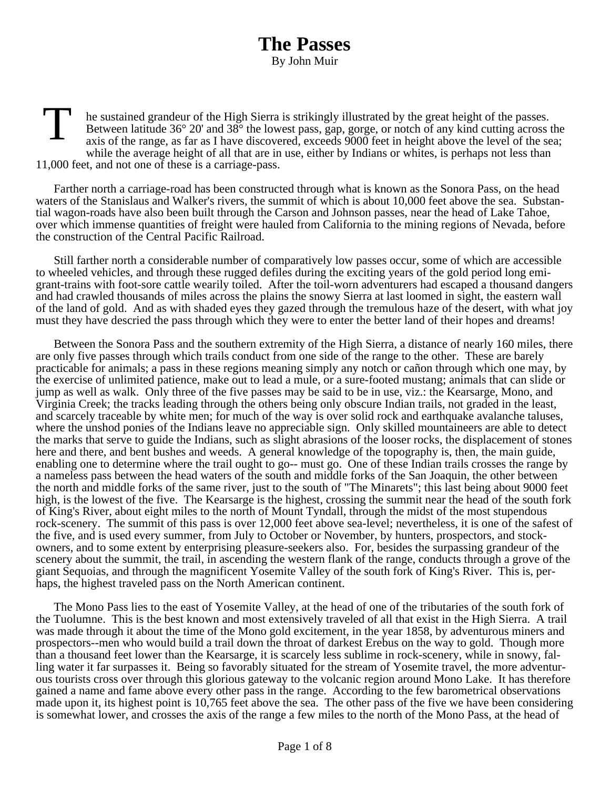## **The Passes** By John Muir

T he sustained grandeur of the High Sierra is strikingly illustrated by the great height of the passes. Between latitude 36° 20' and 38° the lowest pass, gap, gorge, or notch of any kind cutting across the axis of the range, as far as I have discovered, exceeds 9000 feet in height above the level of the sea; while the average height of all that are in use, either by Indians or whites, is perhaps not less than 11,000 feet, and not one of these is a carriage-pass.

Farther north a carriage-road has been constructed through what is known as the Sonora Pass, on the head waters of the Stanislaus and Walker's rivers, the summit of which is about 10,000 feet above the sea. Substantial wagon-roads have also been built through the Carson and Johnson passes, near the head of Lake Tahoe, over which immense quantities of freight were hauled from California to the mining regions of Nevada, before the construction of the Central Pacific Railroad.

Still farther north a considerable number of comparatively low passes occur, some of which are accessible to wheeled vehicles, and through these rugged defiles during the exciting years of the gold period long emigrant-trains with foot-sore cattle wearily toiled. After the toil-worn adventurers had escaped a thousand dangers and had crawled thousands of miles across the plains the snowy Sierra at last loomed in sight, the eastern wall of the land of gold. And as with shaded eyes they gazed through the tremulous haze of the desert, with what joy must they have descried the pass through which they were to enter the better land of their hopes and dreams!

Between the Sonora Pass and the southern extremity of the High Sierra, a distance of nearly 160 miles, there are only five passes through which trails conduct from one side of the range to the other. These are barely practicable for animals; a pass in these regions meaning simply any notch or cañon through which one may, by the exercise of unlimited patience, make out to lead a mule, or a sure-footed mustang; animals that can slide or jump as well as walk. Only three of the five passes may be said to be in use, viz.: the Kearsarge, Mono, and Virginia Creek; the tracks leading through the others being only obscure Indian trails, not graded in the least, and scarcely traceable by white men; for much of the way is over solid rock and earthquake avalanche taluses, where the unshod ponies of the Indians leave no appreciable sign. Only skilled mountaineers are able to detect the marks that serve to guide the Indians, such as slight abrasions of the looser rocks, the displacement of stones here and there, and bent bushes and weeds. A general knowledge of the topography is, then, the main guide, enabling one to determine where the trail ought to go-- must go. One of these Indian trails crosses the range by a nameless pass between the head waters of the south and middle forks of the San Joaquin, the other between the north and middle forks of the same river, just to the south of "The Minarets"; this last being about 9000 feet high, is the lowest of the five. The Kearsarge is the highest, crossing the summit near the head of the south fork of King's River, about eight miles to the north of Mount Tyndall, through the midst of the most stupendous rock-scenery. The summit of this pass is over 12,000 feet above sea-level; nevertheless, it is one of the safest of the five, and is used every summer, from July to October or November, by hunters, prospectors, and stockowners, and to some extent by enterprising pleasure-seekers also. For, besides the surpassing grandeur of the scenery about the summit, the trail, in ascending the western flank of the range, conducts through a grove of the giant Sequoias, and through the magnificent Yosemite Valley of the south fork of King's River. This is, perhaps, the highest traveled pass on the North American continent.

The Mono Pass lies to the east of Yosemite Valley, at the head of one of the tributaries of the south fork of the Tuolumne. This is the best known and most extensively traveled of all that exist in the High Sierra. A trail was made through it about the time of the Mono gold excitement, in the year 1858, by adventurous miners and prospectors--men who would build a trail down the throat of darkest Erebus on the way to gold. Though more than a thousand feet lower than the Kearsarge, it is scarcely less sublime in rock-scenery, while in snowy, falling water it far surpasses it. Being so favorably situated for the stream of Yosemite travel, the more adventurous tourists cross over through this glorious gateway to the volcanic region around Mono Lake. It has therefore gained a name and fame above every other pass in the range. According to the few barometrical observations made upon it, its highest point is 10,765 feet above the sea. The other pass of the five we have been considering is somewhat lower, and crosses the axis of the range a few miles to the north of the Mono Pass, at the head of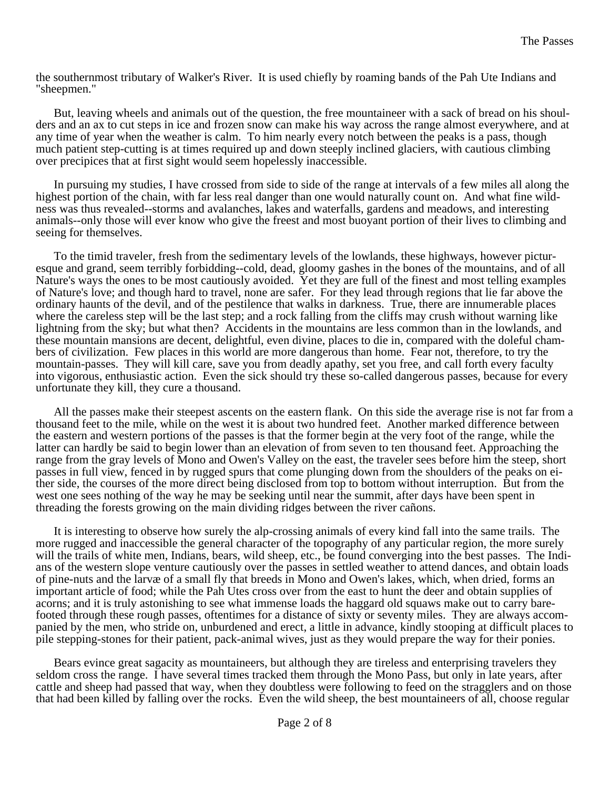the southernmost tributary of Walker's River. It is used chiefly by roaming bands of the Pah Ute Indians and "sheepmen."

But, leaving wheels and animals out of the question, the free mountaineer with a sack of bread on his shoulders and an ax to cut steps in ice and frozen snow can make his way across the range almost everywhere, and at any time of year when the weather is calm. To him nearly every notch between the peaks is a pass, though much patient step-cutting is at times required up and down steeply inclined glaciers, with cautious climbing over precipices that at first sight would seem hopelessly inaccessible.

In pursuing my studies, I have crossed from side to side of the range at intervals of a few miles all along the highest portion of the chain, with far less real danger than one would naturally count on. And what fine wildness was thus revealed--storms and avalanches, lakes and waterfalls, gardens and meadows, and interesting animals--only those will ever know who give the freest and most buoyant portion of their lives to climbing and seeing for themselves.

To the timid traveler, fresh from the sedimentary levels of the lowlands, these highways, however picturesque and grand, seem terribly forbidding--cold, dead, gloomy gashes in the bones of the mountains, and of all Nature's ways the ones to be most cautiously avoided. Yet they are full of the finest and most telling examples of Nature's love; and though hard to travel, none are safer. For they lead through regions that lie far above the ordinary haunts of the devil, and of the pestilence that walks in darkness. True, there are innumerable places where the careless step will be the last step; and a rock falling from the cliffs may crush without warning like lightning from the sky; but what then? Accidents in the mountains are less common than in the lowlands, and these mountain mansions are decent, delightful, even divine, places to die in, compared with the doleful chambers of civilization. Few places in this world are more dangerous than home. Fear not, therefore, to try the mountain-passes. They will kill care, save you from deadly apathy, set you free, and call forth every faculty into vigorous, enthusiastic action. Even the sick should try these so-called dangerous passes, because for every unfortunate they kill, they cure a thousand.

All the passes make their steepest ascents on the eastern flank. On this side the average rise is not far from a thousand feet to the mile, while on the west it is about two hundred feet. Another marked difference between the eastern and western portions of the passes is that the former begin at the very foot of the range, while the latter can hardly be said to begin lower than an elevation of from seven to ten thousand feet. Approaching the range from the gray levels of Mono and Owen's Valley on the east, the traveler sees before him the steep, short passes in full view, fenced in by rugged spurs that come plunging down from the shoulders of the peaks on either side, the courses of the more direct being disclosed from top to bottom without interruption. But from the west one sees nothing of the way he may be seeking until near the summit, after days have been spent in threading the forests growing on the main dividing ridges between the river cañons.

It is interesting to observe how surely the alp-crossing animals of every kind fall into the same trails. The more rugged and inaccessible the general character of the topography of any particular region, the more surely will the trails of white men, Indians, bears, wild sheep, etc., be found converging into the best passes. The Indians of the western slope venture cautiously over the passes in settled weather to attend dances, and obtain loads of pine-nuts and the larvæ of a small fly that breeds in Mono and Owen's lakes, which, when dried, forms an important article of food; while the Pah Utes cross over from the east to hunt the deer and obtain supplies of acorns; and it is truly astonishing to see what immense loads the haggard old squaws make out to carry barefooted through these rough passes, oftentimes for a distance of sixty or seventy miles. They are always accompanied by the men, who stride on, unburdened and erect, a little in advance, kindly stooping at difficult places to pile stepping-stones for their patient, pack-animal wives, just as they would prepare the way for their ponies.

Bears evince great sagacity as mountaineers, but although they are tireless and enterprising travelers they seldom cross the range. I have several times tracked them through the Mono Pass, but only in late years, after cattle and sheep had passed that way, when they doubtless were following to feed on the stragglers and on those that had been killed by falling over the rocks. Even the wild sheep, the best mountaineers of all, choose regular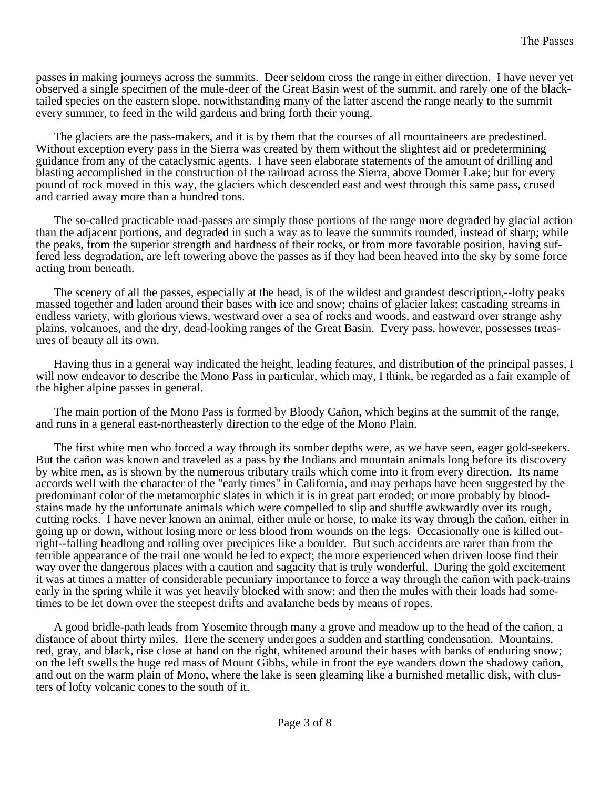passes in making journeys across the summits. Deer seldom cross the range in either direction. I have never yet observed a single specimen of the mule-deer of the Great Basin west of the summit, and rarely one of the blacktailed species on the eastern slope, notwithstanding many of the latter ascend the range nearly to the summit every summer, to feed in the wild gardens and bring forth their young.

The glaciers are the pass-makers, and it is by them that the courses of all mountaineers are predestined. Without exception every pass in the Sierra was created by them without the slightest aid or predetermining guidance from any of the cataclysmic agents. I have seen elaborate statements of the amount of drilling and blasting accomplished in the construction of the railroad across the Sierra, above Donner Lake; but for every pound of rock moved in this way, the glaciers which descended east and west through this same pass, crused and carried away more than a hundred tons.

The so-called practicable road-passes are simply those portions of the range more degraded by glacial action than the adjacent portions, and degraded in such a way as to leave the summits rounded, instead of sharp; while the peaks, from the superior strength and hardness of their rocks, or from more favorable position, having suffered less degradation, are left towering above the passes as if they had been heaved into the sky by some force acting from beneath.

The scenery of all the passes, especially at the head, is of the wildest and grandest description,--lofty peaks massed together and laden around their bases with ice and snow; chains of glacier lakes; cascading streams in endless variety, with glorious views, westward over a sea of rocks and woods, and eastward over strange ashy plains, volcanoes, and the dry, dead-looking ranges of the Great Basin. Every pass, however, possesses treasures of beauty all its own.

Having thus in a general way indicated the height, leading features, and distribution of the principal passes, I will now endeavor to describe the Mono Pass in particular, which may, I think, be regarded as a fair example of the higher alpine passes in general.

The main portion of the Mono Pass is formed by Bloody Cañon, which begins at the summit of the range, and runs in a general east-northeasterly direction to the edge of the Mono Plain.

The first white men who forced a way through its somber depths were, as we have seen, eager gold-seekers. But the cañon was known and traveled as a pass by the Indians and mountain animals long before its discovery by white men, as is shown by the numerous tributary trails which come into it from every direction. Its name accords well with the character of the "early times" in California, and may perhaps have been suggested by the predominant color of the metamorphic slates in which it is in great part eroded; or more probably by bloodstains made by the unfortunate animals which were compelled to slip and shuffle awkwardly over its rough, cutting rocks. I have never known an animal, either mule or horse, to make its way through the cañon, either in going up or down, without losing more or less blood from wounds on the legs. Occasionally one is killed outright--falling headlong and rolling over precipices like a boulder. But such accidents are rarer than from the terrible appearance of the trail one would be led to expect; the more experienced when driven loose find their way over the dangerous places with a caution and sagacity that is truly wonderful. During the gold excitement it was at times a matter of considerable pecuniary importance to force a way through the cañon with pack-trains early in the spring while it was yet heavily blocked with snow; and then the mules with their loads had sometimes to be let down over the steepest drifts and avalanche beds by means of ropes.

A good bridle-path leads from Yosemite through many a grove and meadow up to the head of the cañon, a distance of about thirty miles. Here the scenery undergoes a sudden and startling condensation. Mountains, red, gray, and black, rise close at hand on the right, whitened around their bases with banks of enduring snow; on the left swells the huge red mass of Mount Gibbs, while in front the eye wanders down the shadowy cañon, and out on the warm plain of Mono, where the lake is seen gleaming like a burnished metallic disk, with clusters of lofty volcanic cones to the south of it.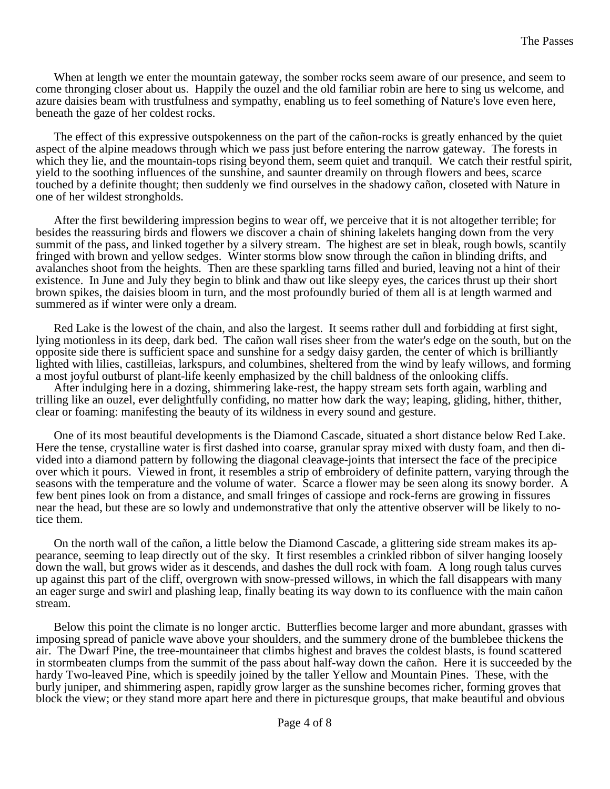When at length we enter the mountain gateway, the somber rocks seem aware of our presence, and seem to come thronging closer about us. Happily the ouzel and the old familiar robin are here to sing us welcome, and azure daisies beam with trustfulness and sympathy, enabling us to feel something of Nature's love even here, beneath the gaze of her coldest rocks.

The effect of this expressive outspokenness on the part of the cañon-rocks is greatly enhanced by the quiet aspect of the alpine meadows through which we pass just before entering the narrow gateway. The forests in which they lie, and the mountain-tops rising beyond them, seem quiet and tranquil. We catch their restful spirit, yield to the soothing influences of the sunshine, and saunter dreamily on through flowers and bees, scarce touched by a definite thought; then suddenly we find ourselves in the shadowy cañon, closeted with Nature in one of her wildest strongholds.

After the first bewildering impression begins to wear off, we perceive that it is not altogether terrible; for besides the reassuring birds and flowers we discover a chain of shining lakelets hanging down from the very summit of the pass, and linked together by a silvery stream. The highest are set in bleak, rough bowls, scantily fringed with brown and yellow sedges. Winter storms blow snow through the cañon in blinding drifts, and avalanches shoot from the heights. Then are these sparkling tarns filled and buried, leaving not a hint of their existence. In June and July they begin to blink and thaw out like sleepy eyes, the carices thrust up their short brown spikes, the daisies bloom in turn, and the most profoundly buried of them all is at length warmed and summered as if winter were only a dream.

Red Lake is the lowest of the chain, and also the largest. It seems rather dull and forbidding at first sight, lying motionless in its deep, dark bed. The cañon wall rises sheer from the water's edge on the south, but on the opposite side there is sufficient space and sunshine for a sedgy daisy garden, the center of which is brilliantly lighted with lilies, castilleias, larkspurs, and columbines, sheltered from the wind by leafy willows, and forming a most joyful outburst of plant-life keenly emphasized by the chill baldness of the onlooking cliffs.

After indulging here in a dozing, shimmering lake-rest, the happy stream sets forth again, warbling and trilling like an ouzel, ever delightfully confiding, no matter how dark the way; leaping, gliding, hither, thither, clear or foaming: manifesting the beauty of its wildness in every sound and gesture.

One of its most beautiful developments is the Diamond Cascade, situated a short distance below Red Lake. Here the tense, crystalline water is first dashed into coarse, granular spray mixed with dusty foam, and then divided into a diamond pattern by following the diagonal cleavage-joints that intersect the face of the precipice over which it pours. Viewed in front, it resembles a strip of embroidery of definite pattern, varying through the seasons with the temperature and the volume of water. Scarce a flower may be seen along its snowy border. A few bent pines look on from a distance, and small fringes of cassiope and rock-ferns are growing in fissures near the head, but these are so lowly and undemonstrative that only the attentive observer will be likely to notice them.

On the north wall of the cañon, a little below the Diamond Cascade, a glittering side stream makes its appearance, seeming to leap directly out of the sky. It first resembles a crinkled ribbon of silver hanging loosely down the wall, but grows wider as it descends, and dashes the dull rock with foam. A long rough talus curves up against this part of the cliff, overgrown with snow-pressed willows, in which the fall disappears with many an eager surge and swirl and plashing leap, finally beating its way down to its confluence with the main cañon stream.

Below this point the climate is no longer arctic. Butterflies become larger and more abundant, grasses with imposing spread of panicle wave above your shoulders, and the summery drone of the bumblebee thickens the air. The Dwarf Pine, the tree-mountaineer that climbs highest and braves the coldest blasts, is found scattered in stormbeaten clumps from the summit of the pass about half-way down the cañon. Here it is succeeded by the hardy Two-leaved Pine, which is speedily joined by the taller Yellow and Mountain Pines. These, with the burly juniper, and shimmering aspen, rapidly grow larger as the sunshine becomes richer, forming groves that block the view; or they stand more apart here and there in picturesque groups, that make beautiful and obvious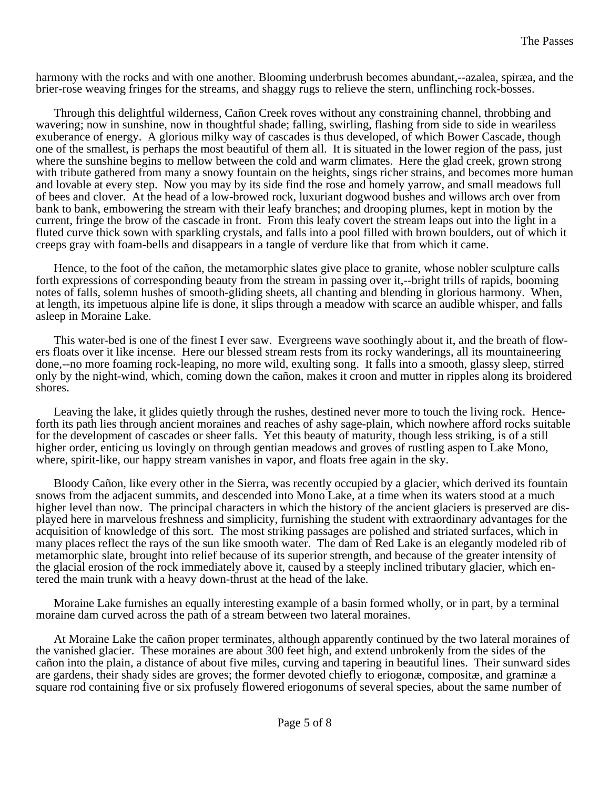harmony with the rocks and with one another. Blooming underbrush becomes abundant,--azalea, spiræa, and the brier-rose weaving fringes for the streams, and shaggy rugs to relieve the stern, unflinching rock-bosses.

Through this delightful wilderness, Cañon Creek roves without any constraining channel, throbbing and wavering; now in sunshine, now in thoughtful shade; falling, swirling, flashing from side to side in weariless exuberance of energy. A glorious milky way of cascades is thus developed, of which Bower Cascade, though one of the smallest, is perhaps the most beautiful of them all. It is situated in the lower region of the pass, just where the sunshine begins to mellow between the cold and warm climates. Here the glad creek, grown strong with tribute gathered from many a snowy fountain on the heights, sings richer strains, and becomes more human and lovable at every step. Now you may by its side find the rose and homely yarrow, and small meadows full of bees and clover. At the head of a low-browed rock, luxuriant dogwood bushes and willows arch over from bank to bank, embowering the stream with their leafy branches; and drooping plumes, kept in motion by the current, fringe the brow of the cascade in front. From this leafy covert the stream leaps out into the light in a fluted curve thick sown with sparkling crystals, and falls into a pool filled with brown boulders, out of which it creeps gray with foam-bells and disappears in a tangle of verdure like that from which it came.

Hence, to the foot of the cañon, the metamorphic slates give place to granite, whose nobler sculpture calls forth expressions of corresponding beauty from the stream in passing over it,--bright trills of rapids, booming notes of falls, solemn hushes of smooth-gliding sheets, all chanting and blending in glorious harmony. When, at length, its impetuous alpine life is done, it slips through a meadow with scarce an audible whisper, and falls asleep in Moraine Lake.

This water-bed is one of the finest I ever saw. Evergreens wave soothingly about it, and the breath of flowers floats over it like incense. Here our blessed stream rests from its rocky wanderings, all its mountaineering done,--no more foaming rock-leaping, no more wild, exulting song. It falls into a smooth, glassy sleep, stirred only by the night-wind, which, coming down the cañon, makes it croon and mutter in ripples along its broidered shores.

Leaving the lake, it glides quietly through the rushes, destined never more to touch the living rock. Henceforth its path lies through ancient moraines and reaches of ashy sage-plain, which nowhere afford rocks suitable for the development of cascades or sheer falls. Yet this beauty of maturity, though less striking, is of a still higher order, enticing us lovingly on through gentian meadows and groves of rustling aspen to Lake Mono, where, spirit-like, our happy stream vanishes in vapor, and floats free again in the sky.

Bloody Cañon, like every other in the Sierra, was recently occupied by a glacier, which derived its fountain snows from the adjacent summits, and descended into Mono Lake, at a time when its waters stood at a much higher level than now. The principal characters in which the history of the ancient glaciers is preserved are displayed here in marvelous freshness and simplicity, furnishing the student with extraordinary advantages for the acquisition of knowledge of this sort. The most striking passages are polished and striated surfaces, which in many places reflect the rays of the sun like smooth water. The dam of Red Lake is an elegantly modeled rib of metamorphic slate, brought into relief because of its superior strength, and because of the greater intensity of the glacial erosion of the rock immediately above it, caused by a steeply inclined tributary glacier, which entered the main trunk with a heavy down-thrust at the head of the lake.

Moraine Lake furnishes an equally interesting example of a basin formed wholly, or in part, by a terminal moraine dam curved across the path of a stream between two lateral moraines.

At Moraine Lake the cañon proper terminates, although apparently continued by the two lateral moraines of the vanished glacier. These moraines are about 300 feet high, and extend unbrokenly from the sides of the cañon into the plain, a distance of about five miles, curving and tapering in beautiful lines. Their sunward sides are gardens, their shady sides are groves; the former devoted chiefly to eriogonæ, compositæ, and graminæ a square rod containing five or six profusely flowered eriogonums of several species, about the same number of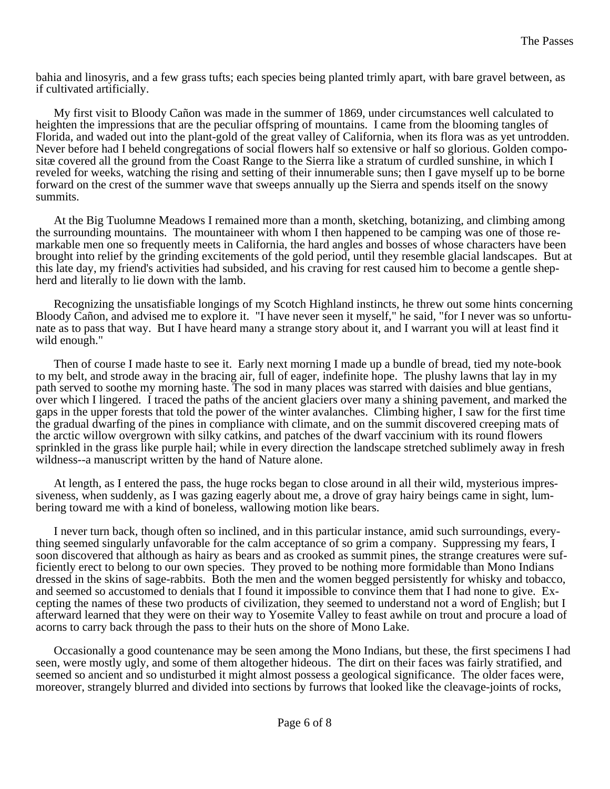bahia and linosyris, and a few grass tufts; each species being planted trimly apart, with bare gravel between, as if cultivated artificially.

My first visit to Bloody Cañon was made in the summer of 1869, under circumstances well calculated to heighten the impressions that are the peculiar offspring of mountains. I came from the blooming tangles of Florida, and waded out into the plant-gold of the great valley of California, when its flora was as yet untrodden. Never before had I beheld congregations of social flowers half so extensive or half so glorious. Golden compositæ covered all the ground from the Coast Range to the Sierra like a stratum of curdled sunshine, in which I reveled for weeks, watching the rising and setting of their innumerable suns; then I gave myself up to be borne forward on the crest of the summer wave that sweeps annually up the Sierra and spends itself on the snowy summits.

At the Big Tuolumne Meadows I remained more than a month, sketching, botanizing, and climbing among the surrounding mountains. The mountaineer with whom I then happened to be camping was one of those remarkable men one so frequently meets in California, the hard angles and bosses of whose characters have been brought into relief by the grinding excitements of the gold period, until they resemble glacial landscapes. But at this late day, my friend's activities had subsided, and his craving for rest caused him to become a gentle shepherd and literally to lie down with the lamb.

Recognizing the unsatisfiable longings of my Scotch Highland instincts, he threw out some hints concerning Bloody Cañon, and advised me to explore it. "I have never seen it myself," he said, "for I never was so unfortunate as to pass that way. But I have heard many a strange story about it, and I warrant you will at least find it wild enough."

Then of course I made haste to see it. Early next morning I made up a bundle of bread, tied my note-book to my belt, and strode away in the bracing air, full of eager, indefinite hope. The plushy lawns that lay in my path served to soothe my morning haste. The sod in many places was starred with daisies and blue gentians, over which I lingered. I traced the paths of the ancient glaciers over many a shining pavement, and marked the gaps in the upper forests that told the power of the winter avalanches. Climbing higher, I saw for the first time the gradual dwarfing of the pines in compliance with climate, and on the summit discovered creeping mats of the arctic willow overgrown with silky catkins, and patches of the dwarf vaccinium with its round flowers sprinkled in the grass like purple hail; while in every direction the landscape stretched sublimely away in fresh wildness--a manuscript written by the hand of Nature alone.

At length, as I entered the pass, the huge rocks began to close around in all their wild, mysterious impressiveness, when suddenly, as I was gazing eagerly about me, a drove of gray hairy beings came in sight, lumbering toward me with a kind of boneless, wallowing motion like bears.

I never turn back, though often so inclined, and in this particular instance, amid such surroundings, everything seemed singularly unfavorable for the calm acceptance of so grim a company. Suppressing my fears, I soon discovered that although as hairy as bears and as crooked as summit pines, the strange creatures were sufficiently erect to belong to our own species. They proved to be nothing more formidable than Mono Indians dressed in the skins of sage-rabbits. Both the men and the women begged persistently for whisky and tobacco, and seemed so accustomed to denials that I found it impossible to convince them that I had none to give. Excepting the names of these two products of civilization, they seemed to understand not a word of English; but I afterward learned that they were on their way to Yosemite Valley to feast awhile on trout and procure a load of acorns to carry back through the pass to their huts on the shore of Mono Lake.

Occasionally a good countenance may be seen among the Mono Indians, but these, the first specimens I had seen, were mostly ugly, and some of them altogether hideous. The dirt on their faces was fairly stratified, and seemed so ancient and so undisturbed it might almost possess a geological significance. The older faces were, moreover, strangely blurred and divided into sections by furrows that looked like the cleavage-joints of rocks,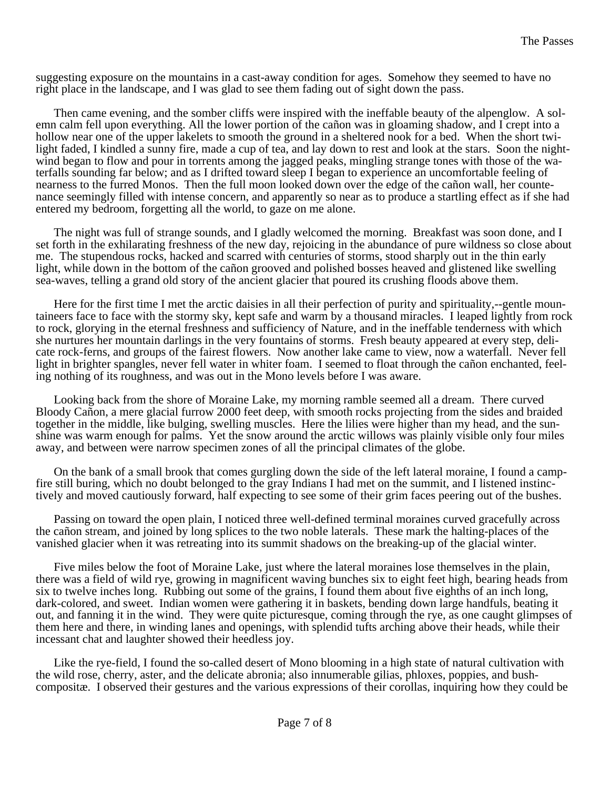suggesting exposure on the mountains in a cast-away condition for ages. Somehow they seemed to have no right place in the landscape, and I was glad to see them fading out of sight down the pass.

Then came evening, and the somber cliffs were inspired with the ineffable beauty of the alpenglow. A solemn calm fell upon everything. All the lower portion of the cañon was in gloaming shadow, and I crept into a hollow near one of the upper lakelets to smooth the ground in a sheltered nook for a bed. When the short twilight faded, I kindled a sunny fire, made a cup of tea, and lay down to rest and look at the stars. Soon the nightwind began to flow and pour in torrents among the jagged peaks, mingling strange tones with those of the waterfalls sounding far below; and as I drifted toward sleep I began to experience an uncomfortable feeling of nearness to the furred Monos. Then the full moon looked down over the edge of the cañon wall, her countenance seemingly filled with intense concern, and apparently so near as to produce a startling effect as if she had entered my bedroom, forgetting all the world, to gaze on me alone.

The night was full of strange sounds, and I gladly welcomed the morning. Breakfast was soon done, and I set forth in the exhilarating freshness of the new day, rejoicing in the abundance of pure wildness so close about me. The stupendous rocks, hacked and scarred with centuries of storms, stood sharply out in the thin early light, while down in the bottom of the cañon grooved and polished bosses heaved and glistened like swelling sea-waves, telling a grand old story of the ancient glacier that poured its crushing floods above them.

Here for the first time I met the arctic daisies in all their perfection of purity and spirituality,--gentle mountaineers face to face with the stormy sky, kept safe and warm by a thousand miracles. I leaped lightly from rock to rock, glorying in the eternal freshness and sufficiency of Nature, and in the ineffable tenderness with which she nurtures her mountain darlings in the very fountains of storms. Fresh beauty appeared at every step, delicate rock-ferns, and groups of the fairest flowers. Now another lake came to view, now a waterfall. Never fell light in brighter spangles, never fell water in whiter foam. I seemed to float through the cañon enchanted, feeling nothing of its roughness, and was out in the Mono levels before I was aware.

Looking back from the shore of Moraine Lake, my morning ramble seemed all a dream. There curved Bloody Cañon, a mere glacial furrow 2000 feet deep, with smooth rocks projecting from the sides and braided together in the middle, like bulging, swelling muscles. Here the lilies were higher than my head, and the sunshine was warm enough for palms. Yet the snow around the arctic willows was plainly visible only four miles away, and between were narrow specimen zones of all the principal climates of the globe.

On the bank of a small brook that comes gurgling down the side of the left lateral moraine, I found a campfire still buring, which no doubt belonged to the gray Indians I had met on the summit, and I listened instinctively and moved cautiously forward, half expecting to see some of their grim faces peering out of the bushes.

Passing on toward the open plain, I noticed three well-defined terminal moraines curved gracefully across the cañon stream, and joined by long splices to the two noble laterals. These mark the halting-places of the vanished glacier when it was retreating into its summit shadows on the breaking-up of the glacial winter.

Five miles below the foot of Moraine Lake, just where the lateral moraines lose themselves in the plain, there was a field of wild rye, growing in magnificent waving bunches six to eight feet high, bearing heads from six to twelve inches long. Rubbing out some of the grains, I found them about five eighths of an inch long, dark-colored, and sweet. Indian women were gathering it in baskets, bending down large handfuls, beating it out, and fanning it in the wind. They were quite picturesque, coming through the rye, as one caught glimpses of them here and there, in winding lanes and openings, with splendid tufts arching above their heads, while their incessant chat and laughter showed their heedless joy.

Like the rye-field, I found the so-called desert of Mono blooming in a high state of natural cultivation with the wild rose, cherry, aster, and the delicate abronia; also innumerable gilias, phloxes, poppies, and bushcompositæ. I observed their gestures and the various expressions of their corollas, inquiring how they could be